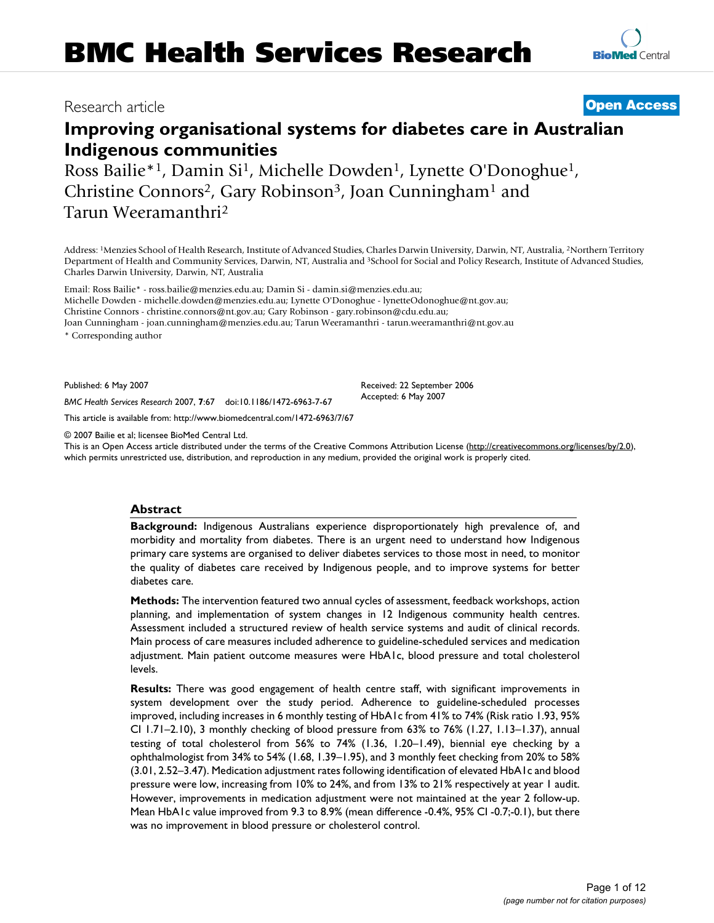## Research article **[Open Access](http://www.biomedcentral.com/info/about/charter/)**

# **Improving organisational systems for diabetes care in Australian Indigenous communities**

Ross Bailie\*<sup>1</sup>, Damin Si<sup>1</sup>, Michelle Dowden<sup>1</sup>, Lynette O'Donoghue<sup>1</sup>, Christine Connors2, Gary Robinson3, Joan Cunningham1 and Tarun Weeramanthri2

Address: 1Menzies School of Health Research, Institute of Advanced Studies, Charles Darwin University, Darwin, NT, Australia, 2Northern Territory Department of Health and Community Services, Darwin, NT, Australia and 3School for Social and Policy Research, Institute of Advanced Studies, Charles Darwin University, Darwin, NT, Australia

Email: Ross Bailie\* - ross.bailie@menzies.edu.au; Damin Si - damin.si@menzies.edu.au; Michelle Dowden - michelle.dowden@menzies.edu.au; Lynette O'Donoghue - lynetteOdonoghue@nt.gov.au; Christine Connors - christine.connors@nt.gov.au; Gary Robinson - gary.robinson@cdu.edu.au; Joan Cunningham - joan.cunningham@menzies.edu.au; Tarun Weeramanthri - tarun.weeramanthri@nt.gov.au

\* Corresponding author

Published: 6 May 2007

*BMC Health Services Research* 2007, **7**:67 doi:10.1186/1472-6963-7-67

[This article is available from: http://www.biomedcentral.com/1472-6963/7/67](http://www.biomedcentral.com/1472-6963/7/67)

© 2007 Bailie et al; licensee BioMed Central Ltd.

This is an Open Access article distributed under the terms of the Creative Commons Attribution License [\(http://creativecommons.org/licenses/by/2.0\)](http://creativecommons.org/licenses/by/2.0), which permits unrestricted use, distribution, and reproduction in any medium, provided the original work is properly cited.

### **Abstract**

**Background:** Indigenous Australians experience disproportionately high prevalence of, and morbidity and mortality from diabetes. There is an urgent need to understand how Indigenous primary care systems are organised to deliver diabetes services to those most in need, to monitor the quality of diabetes care received by Indigenous people, and to improve systems for better diabetes care.

**Methods:** The intervention featured two annual cycles of assessment, feedback workshops, action planning, and implementation of system changes in 12 Indigenous community health centres. Assessment included a structured review of health service systems and audit of clinical records. Main process of care measures included adherence to guideline-scheduled services and medication adjustment. Main patient outcome measures were HbA1c, blood pressure and total cholesterol levels.

**Results:** There was good engagement of health centre staff, with significant improvements in system development over the study period. Adherence to guideline-scheduled processes improved, including increases in 6 monthly testing of HbA1c from 41% to 74% (Risk ratio 1.93, 95% CI 1.71–2.10), 3 monthly checking of blood pressure from 63% to 76% (1.27, 1.13–1.37), annual testing of total cholesterol from 56% to 74% (1.36, 1.20–1.49), biennial eye checking by a ophthalmologist from 34% to 54% (1.68, 1.39–1.95), and 3 monthly feet checking from 20% to 58% (3.01, 2.52–3.47). Medication adjustment rates following identification of elevated HbA1c and blood pressure were low, increasing from 10% to 24%, and from 13% to 21% respectively at year 1 audit. However, improvements in medication adjustment were not maintained at the year 2 follow-up. Mean HbA1c value improved from 9.3 to 8.9% (mean difference -0.4%, 95% CI -0.7;-0.1), but there was no improvement in blood pressure or cholesterol control.

Received: 22 September 2006

Accepted: 6 May 2007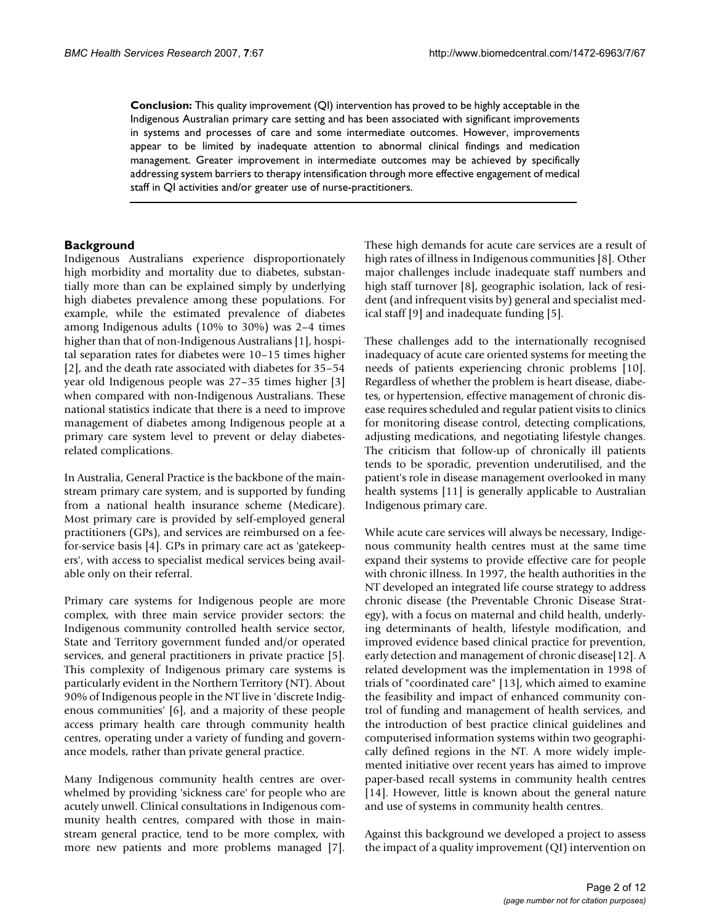**Conclusion:** This quality improvement (QI) intervention has proved to be highly acceptable in the Indigenous Australian primary care setting and has been associated with significant improvements in systems and processes of care and some intermediate outcomes. However, improvements appear to be limited by inadequate attention to abnormal clinical findings and medication management. Greater improvement in intermediate outcomes may be achieved by specifically addressing system barriers to therapy intensification through more effective engagement of medical staff in QI activities and/or greater use of nurse-practitioners.

#### **Background**

Indigenous Australians experience disproportionately high morbidity and mortality due to diabetes, substantially more than can be explained simply by underlying high diabetes prevalence among these populations. For example, while the estimated prevalence of diabetes among Indigenous adults (10% to 30%) was 2–4 times higher than that of non-Indigenous Australians [1], hospital separation rates for diabetes were 10–15 times higher [2], and the death rate associated with diabetes for 35–54 year old Indigenous people was 27–35 times higher [3] when compared with non-Indigenous Australians. These national statistics indicate that there is a need to improve management of diabetes among Indigenous people at a primary care system level to prevent or delay diabetesrelated complications.

In Australia, General Practice is the backbone of the mainstream primary care system, and is supported by funding from a national health insurance scheme (Medicare). Most primary care is provided by self-employed general practitioners (GPs), and services are reimbursed on a feefor-service basis [4]. GPs in primary care act as 'gatekeepers', with access to specialist medical services being available only on their referral.

Primary care systems for Indigenous people are more complex, with three main service provider sectors: the Indigenous community controlled health service sector, State and Territory government funded and/or operated services, and general practitioners in private practice [5]. This complexity of Indigenous primary care systems is particularly evident in the Northern Territory (NT). About 90% of Indigenous people in the NT live in 'discrete Indigenous communities' [6], and a majority of these people access primary health care through community health centres, operating under a variety of funding and governance models, rather than private general practice.

Many Indigenous community health centres are overwhelmed by providing 'sickness care' for people who are acutely unwell. Clinical consultations in Indigenous community health centres, compared with those in mainstream general practice, tend to be more complex, with more new patients and more problems managed [7].

These high demands for acute care services are a result of high rates of illness in Indigenous communities [8]. Other major challenges include inadequate staff numbers and high staff turnover [8], geographic isolation, lack of resident (and infrequent visits by) general and specialist medical staff [9] and inadequate funding [5].

These challenges add to the internationally recognised inadequacy of acute care oriented systems for meeting the needs of patients experiencing chronic problems [10]. Regardless of whether the problem is heart disease, diabetes, or hypertension, effective management of chronic disease requires scheduled and regular patient visits to clinics for monitoring disease control, detecting complications, adjusting medications, and negotiating lifestyle changes. The criticism that follow-up of chronically ill patients tends to be sporadic, prevention underutilised, and the patient's role in disease management overlooked in many health systems [11] is generally applicable to Australian Indigenous primary care.

While acute care services will always be necessary, Indigenous community health centres must at the same time expand their systems to provide effective care for people with chronic illness. In 1997, the health authorities in the NT developed an integrated life course strategy to address chronic disease (the Preventable Chronic Disease Strategy), with a focus on maternal and child health, underlying determinants of health, lifestyle modification, and improved evidence based clinical practice for prevention, early detection and management of chronic disease[12]. A related development was the implementation in 1998 of trials of "coordinated care" [13], which aimed to examine the feasibility and impact of enhanced community control of funding and management of health services, and the introduction of best practice clinical guidelines and computerised information systems within two geographically defined regions in the NT. A more widely implemented initiative over recent years has aimed to improve paper-based recall systems in community health centres [14]. However, little is known about the general nature and use of systems in community health centres.

Against this background we developed a project to assess the impact of a quality improvement (QI) intervention on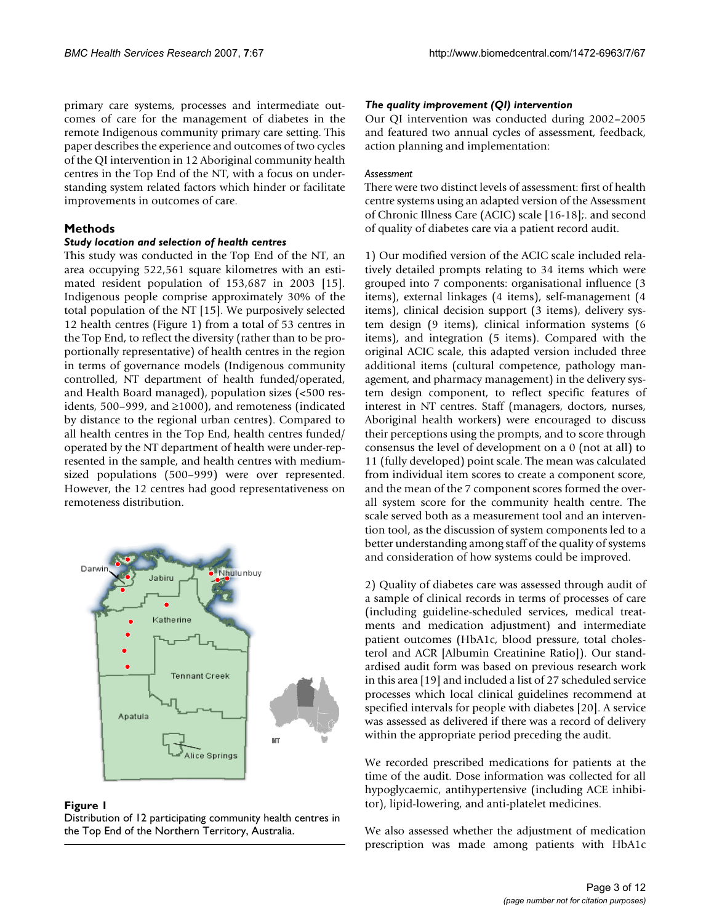primary care systems, processes and intermediate outcomes of care for the management of diabetes in the remote Indigenous community primary care setting. This paper describes the experience and outcomes of two cycles of the QI intervention in 12 Aboriginal community health centres in the Top End of the NT, with a focus on understanding system related factors which hinder or facilitate improvements in outcomes of care.

#### **Methods**

#### *Study location and selection of health centres*

This study was conducted in the Top End of the NT, an area occupying 522,561 square kilometres with an estimated resident population of 153,687 in 2003 [15]. Indigenous people comprise approximately 30% of the total population of the NT [15]. We purposively selected 12 health centres (Figure 1) from a total of 53 centres in the Top End, to reflect the diversity (rather than to be proportionally representative) of health centres in the region in terms of governance models (Indigenous community controlled, NT department of health funded/operated, and Health Board managed), population sizes (<500 residents, 500–999, and ≥1000), and remoteness (indicated by distance to the regional urban centres). Compared to all health centres in the Top End, health centres funded/ operated by the NT department of health were under-represented in the sample, and health centres with mediumsized populations (500–999) were over represented. However, the 12 centres had good representativeness on remoteness distribution.



#### **Figure 1**

Distribution of 12 participating community health centres in the Top End of the Northern Territory, Australia.

#### *The quality improvement (QI) intervention*

Our QI intervention was conducted during 2002–2005 and featured two annual cycles of assessment, feedback, action planning and implementation:

#### *Assessment*

There were two distinct levels of assessment: first of health centre systems using an adapted version of the Assessment of Chronic Illness Care (ACIC) scale [16-18];. and second of quality of diabetes care via a patient record audit.

1) Our modified version of the ACIC scale included relatively detailed prompts relating to 34 items which were grouped into 7 components: organisational influence (3 items), external linkages (4 items), self-management (4 items), clinical decision support (3 items), delivery system design (9 items), clinical information systems (6 items), and integration (5 items). Compared with the original ACIC scale, this adapted version included three additional items (cultural competence, pathology management, and pharmacy management) in the delivery system design component, to reflect specific features of interest in NT centres. Staff (managers, doctors, nurses, Aboriginal health workers) were encouraged to discuss their perceptions using the prompts, and to score through consensus the level of development on a 0 (not at all) to 11 (fully developed) point scale. The mean was calculated from individual item scores to create a component score, and the mean of the 7 component scores formed the overall system score for the community health centre. The scale served both as a measurement tool and an intervention tool, as the discussion of system components led to a better understanding among staff of the quality of systems and consideration of how systems could be improved.

2) Quality of diabetes care was assessed through audit of a sample of clinical records in terms of processes of care (including guideline-scheduled services, medical treatments and medication adjustment) and intermediate patient outcomes (HbA1c, blood pressure, total cholesterol and ACR [Albumin Creatinine Ratio]). Our standardised audit form was based on previous research work in this area [19] and included a list of 27 scheduled service processes which local clinical guidelines recommend at specified intervals for people with diabetes [20]. A service was assessed as delivered if there was a record of delivery within the appropriate period preceding the audit.

We recorded prescribed medications for patients at the time of the audit. Dose information was collected for all hypoglycaemic, antihypertensive (including ACE inhibitor), lipid-lowering, and anti-platelet medicines.

We also assessed whether the adjustment of medication prescription was made among patients with HbA1c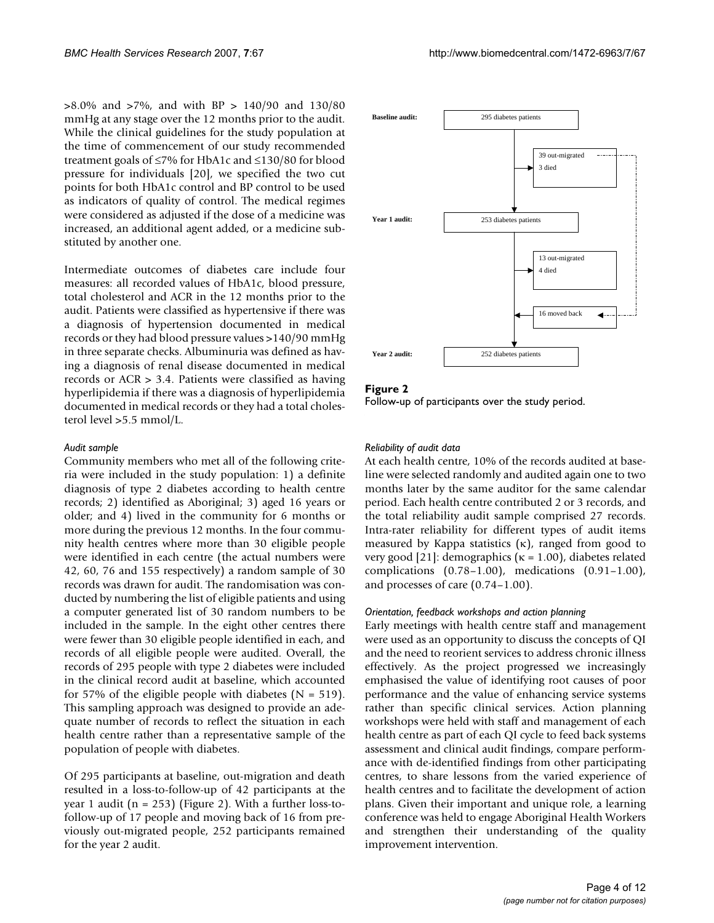>8.0% and >7%, and with BP > 140/90 and 130/80 mmHg at any stage over the 12 months prior to the audit. While the clinical guidelines for the study population at the time of commencement of our study recommended treatment goals of ≤7% for HbA1c and ≤130/80 for blood pressure for individuals [20], we specified the two cut points for both HbA1c control and BP control to be used as indicators of quality of control. The medical regimes were considered as adjusted if the dose of a medicine was increased, an additional agent added, or a medicine substituted by another one.

Intermediate outcomes of diabetes care include four measures: all recorded values of HbA1c, blood pressure, total cholesterol and ACR in the 12 months prior to the audit. Patients were classified as hypertensive if there was a diagnosis of hypertension documented in medical records or they had blood pressure values >140/90 mmHg in three separate checks. Albuminuria was defined as having a diagnosis of renal disease documented in medical records or ACR > 3.4. Patients were classified as having hyperlipidemia if there was a diagnosis of hyperlipidemia documented in medical records or they had a total cholesterol level >5.5 mmol/L.

#### *Audit sample*

Community members who met all of the following criteria were included in the study population: 1) a definite diagnosis of type 2 diabetes according to health centre records; 2) identified as Aboriginal; 3) aged 16 years or older; and 4) lived in the community for 6 months or more during the previous 12 months. In the four community health centres where more than 30 eligible people were identified in each centre (the actual numbers were 42, 60, 76 and 155 respectively) a random sample of 30 records was drawn for audit. The randomisation was conducted by numbering the list of eligible patients and using a computer generated list of 30 random numbers to be included in the sample. In the eight other centres there were fewer than 30 eligible people identified in each, and records of all eligible people were audited. Overall, the records of 295 people with type 2 diabetes were included in the clinical record audit at baseline, which accounted for 57% of the eligible people with diabetes ( $N = 519$ ). This sampling approach was designed to provide an adequate number of records to reflect the situation in each health centre rather than a representative sample of the population of people with diabetes.

Of 295 participants at baseline, out-migration and death resulted in a loss-to-follow-up of 42 participants at the year 1 audit ( $n = 253$ ) (Figure 2). With a further loss-tofollow-up of 17 people and moving back of 16 from previously out-migrated people, 252 participants remained for the year 2 audit.



Figure 2 Follow-up of participants over the study period.

#### *Reliability of audit data*

At each health centre, 10% of the records audited at baseline were selected randomly and audited again one to two months later by the same auditor for the same calendar period. Each health centre contributed 2 or 3 records, and the total reliability audit sample comprised 27 records. Intra-rater reliability for different types of audit items measured by Kappa statistics  $(\kappa)$ , ranged from good to very good [21]: demographics ( $κ = 1.00$ ), diabetes related complications (0.78–1.00), medications (0.91–1.00), and processes of care (0.74–1.00).

#### *Orientation, feedback workshops and action planning*

Early meetings with health centre staff and management were used as an opportunity to discuss the concepts of QI and the need to reorient services to address chronic illness effectively. As the project progressed we increasingly emphasised the value of identifying root causes of poor performance and the value of enhancing service systems rather than specific clinical services. Action planning workshops were held with staff and management of each health centre as part of each QI cycle to feed back systems assessment and clinical audit findings, compare performance with de-identified findings from other participating centres, to share lessons from the varied experience of health centres and to facilitate the development of action plans. Given their important and unique role, a learning conference was held to engage Aboriginal Health Workers and strengthen their understanding of the quality improvement intervention.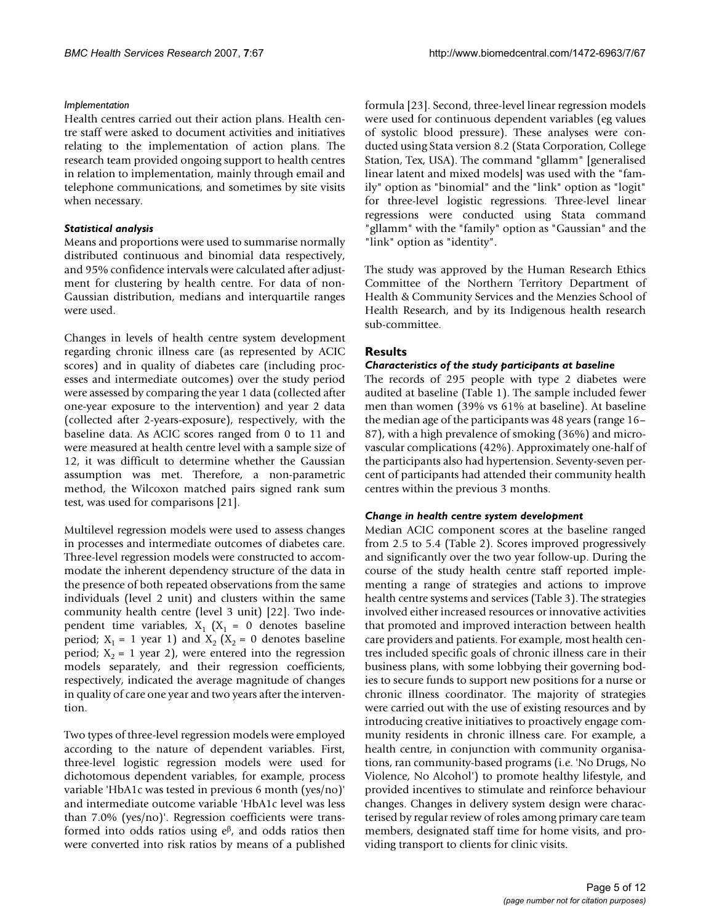#### *Implementation*

Health centres carried out their action plans. Health centre staff were asked to document activities and initiatives relating to the implementation of action plans. The research team provided ongoing support to health centres in relation to implementation, mainly through email and telephone communications, and sometimes by site visits when necessary.

#### *Statistical analysis*

Means and proportions were used to summarise normally distributed continuous and binomial data respectively, and 95% confidence intervals were calculated after adjustment for clustering by health centre. For data of non-Gaussian distribution, medians and interquartile ranges were used.

Changes in levels of health centre system development regarding chronic illness care (as represented by ACIC scores) and in quality of diabetes care (including processes and intermediate outcomes) over the study period were assessed by comparing the year 1 data (collected after one-year exposure to the intervention) and year 2 data (collected after 2-years-exposure), respectively, with the baseline data. As ACIC scores ranged from 0 to 11 and were measured at health centre level with a sample size of 12, it was difficult to determine whether the Gaussian assumption was met. Therefore, a non-parametric method, the Wilcoxon matched pairs signed rank sum test, was used for comparisons [21].

Multilevel regression models were used to assess changes in processes and intermediate outcomes of diabetes care. Three-level regression models were constructed to accommodate the inherent dependency structure of the data in the presence of both repeated observations from the same individuals (level 2 unit) and clusters within the same community health centre (level 3 unit) [22]. Two independent time variables,  $X_1$  ( $X_1$  = 0 denotes baseline period;  $X_1 = 1$  year 1) and  $X_2$  ( $X_2 = 0$  denotes baseline period;  $X_2 = 1$  year 2), were entered into the regression models separately, and their regression coefficients, respectively, indicated the average magnitude of changes in quality of care one year and two years after the intervention.

Two types of three-level regression models were employed according to the nature of dependent variables. First, three-level logistic regression models were used for dichotomous dependent variables, for example, process variable 'HbA1c was tested in previous 6 month (yes/no)' and intermediate outcome variable 'HbA1c level was less than 7.0% (yes/no)'. Regression coefficients were transformed into odds ratios using e<sup>β</sup>, and odds ratios then were converted into risk ratios by means of a published

formula [23]. Second, three-level linear regression models were used for continuous dependent variables (eg values of systolic blood pressure). These analyses were conducted using Stata version 8.2 (Stata Corporation, College Station, Tex, USA). The command "gllamm" [generalised linear latent and mixed models] was used with the "family" option as "binomial" and the "link" option as "logit" for three-level logistic regressions. Three-level linear regressions were conducted using Stata command "gllamm" with the "family" option as "Gaussian" and the "link" option as "identity".

The study was approved by the Human Research Ethics Committee of the Northern Territory Department of Health & Community Services and the Menzies School of Health Research, and by its Indigenous health research sub-committee.

### **Results**

#### *Characteristics of the study participants at baseline*

The records of 295 people with type 2 diabetes were audited at baseline (Table 1). The sample included fewer men than women (39% vs 61% at baseline). At baseline the median age of the participants was 48 years (range 16– 87), with a high prevalence of smoking (36%) and microvascular complications (42%). Approximately one-half of the participants also had hypertension. Seventy-seven percent of participants had attended their community health centres within the previous 3 months.

#### *Change in health centre system development*

Median ACIC component scores at the baseline ranged from 2.5 to 5.4 (Table 2). Scores improved progressively and significantly over the two year follow-up. During the course of the study health centre staff reported implementing a range of strategies and actions to improve health centre systems and services (Table 3). The strategies involved either increased resources or innovative activities that promoted and improved interaction between health care providers and patients. For example, most health centres included specific goals of chronic illness care in their business plans, with some lobbying their governing bodies to secure funds to support new positions for a nurse or chronic illness coordinator. The majority of strategies were carried out with the use of existing resources and by introducing creative initiatives to proactively engage community residents in chronic illness care. For example, a health centre, in conjunction with community organisations, ran community-based programs (i.e. 'No Drugs, No Violence, No Alcohol') to promote healthy lifestyle, and provided incentives to stimulate and reinforce behaviour changes. Changes in delivery system design were characterised by regular review of roles among primary care team members, designated staff time for home visits, and providing transport to clients for clinic visits.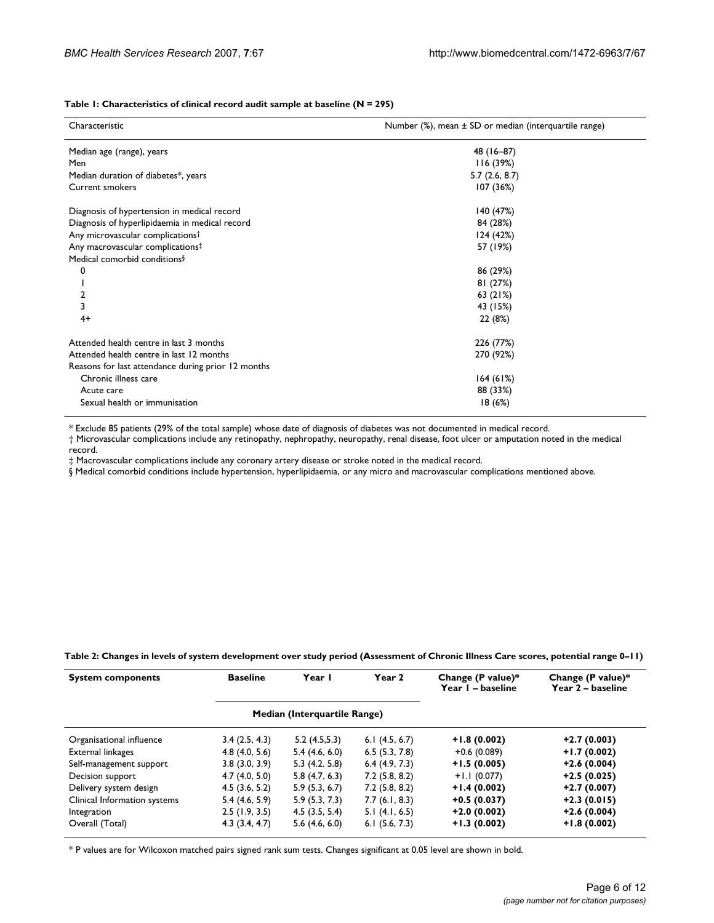#### **Table 1: Characteristics of clinical record audit sample at baseline (N = 295)**

| Characteristic                                     | Number (%), mean ± SD or median (interquartile range) |
|----------------------------------------------------|-------------------------------------------------------|
| Median age (range), years                          | 48 (16-87)                                            |
| Men                                                | 116(39%)                                              |
| Median duration of diabetes*, years                | 5.7(2.6, 8.7)                                         |
| <b>Current smokers</b>                             | 107(36%)                                              |
| Diagnosis of hypertension in medical record        | 140 (47%)                                             |
| Diagnosis of hyperlipidaemia in medical record     | 84 (28%)                                              |
| Any microvascular complications <sup>†</sup>       | 124 (42%)                                             |
| Any macrovascular complications#                   | 57 (19%)                                              |
| Medical comorbid conditions <sup>§</sup>           |                                                       |
| 0                                                  | 86 (29%)                                              |
|                                                    | 81 (27%)                                              |
| 2                                                  | 63 (21%)                                              |
| 3                                                  | 43 (15%)                                              |
| $4+$                                               | 22 (8%)                                               |
| Attended health centre in last 3 months            | 226 (77%)                                             |
| Attended health centre in last 12 months           | 270 (92%)                                             |
| Reasons for last attendance during prior 12 months |                                                       |
| Chronic illness care                               | 164(61%)                                              |
| Acute care                                         | 88 (33%)                                              |
| Sexual health or immunisation                      | 18(6%)                                                |

\* Exclude 85 patients (29% of the total sample) whose date of diagnosis of diabetes was not documented in medical record.

† Microvascular complications include any retinopathy, nephropathy, neuropathy, renal disease, foot ulcer or amputation noted in the medical record.

‡ Macrovascular complications include any coronary artery disease or stroke noted in the medical record.

§ Medical comorbid conditions include hypertension, hyperlipidaemia, or any micro and macrovascular complications mentioned above.

| <b>System components</b>     | <b>Baseline</b> | Year I                       | Year 2           | Change (P value)*<br>Year I - baseline | Change (P value)*<br>Year 2 - baseline |
|------------------------------|-----------------|------------------------------|------------------|----------------------------------------|----------------------------------------|
|                              |                 | Median (Interguartile Range) |                  |                                        |                                        |
| Organisational influence     | 3.4(2.5, 4.3)   | 5.2(4.5,5.3)                 | 6.1 $(4.5, 6.7)$ | $+1.8(0.002)$                          | $+2.7(0.003)$                          |
| <b>External linkages</b>     | 4.8(4.0, 5.6)   | 5.4(4.6, 6.0)                | 6.5(5.3, 7.8)    | $+0.6(0.089)$                          | $+1.7(0.002)$                          |
| Self-management support      | 3.8(3.0, 3.9)   | 5.3(4.2.5.8)                 | 6.4(4.9, 7.3)    | $+1.5(0.005)$                          | $+2.6(0.004)$                          |
| Decision support             | 4.7(4.0, 5.0)   | 5.8(4.7, 6.3)                | $7.2$ (5.8, 8.2) | $+1.1(0.077)$                          | $+2.5(0.025)$                          |
| Delivery system design       | 4.5(3.6, 5.2)   | 5.9(5.3, 6.7)                | $7.2$ (5.8, 8.2) | $+1.4(0.002)$                          | $+2.7(0.007)$                          |
| Clinical Information systems | 5.4(4.6, 5.9)   | 5.9(5.3, 7.3)                | 7.7(6.1, 8.3)    | $+0.5(0.037)$                          | $+2.3(0.015)$                          |
| Integration                  | 2.5(1.9, 3.5)   | 4.5(3.5, 5.4)                | 5.1(4.1, 6.5)    | $+2.0(0.002)$                          | $+2.6(0.004)$                          |
| Overall (Total)              | 4.3(3.4, 4.7)   | 5.6(4.6, 6.0)                | 6.1 $(5.6, 7.3)$ | $+1.3(0.002)$                          | $+1.8(0.002)$                          |

**Table 2: Changes in levels of system development over study period (Assessment of Chronic Illness Care scores, potential range 0–11)**

\* P values are for Wilcoxon matched pairs signed rank sum tests. Changes significant at 0.05 level are shown in bold.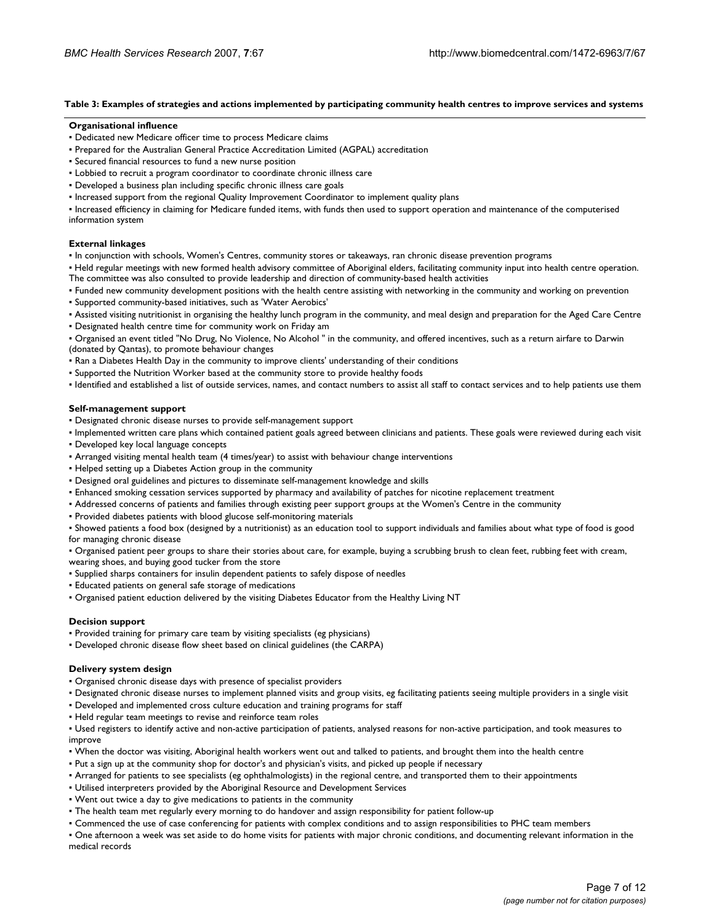#### **Table 3: Examples of strategies and actions implemented by participating community health centres to improve services and systems**

#### **Organisational influence**

- Dedicated new Medicare officer time to process Medicare claims
- Prepared for the Australian General Practice Accreditation Limited (AGPAL) accreditation
- Secured financial resources to fund a new nurse position
- Lobbied to recruit a program coordinator to coordinate chronic illness care
- Developed a business plan including specific chronic illness care goals
- Increased support from the regional Quality Improvement Coordinator to implement quality plans

▪ Increased efficiency in claiming for Medicare funded items, with funds then used to support operation and maintenance of the computerised information system

#### **External linkages**

▪ In conjunction with schools, Women's Centres, community stores or takeaways, ran chronic disease prevention programs

▪ Held regular meetings with new formed health advisory committee of Aboriginal elders, facilitating community input into health centre operation. The committee was also consulted to provide leadership and direction of community-based health activities

- Funded new community development positions with the health centre assisting with networking in the community and working on prevention
- Supported community-based initiatives, such as 'Water Aerobics'
- Assisted visiting nutritionist in organising the healthy lunch program in the community, and meal design and preparation for the Aged Care Centre
- Designated health centre time for community work on Friday am

▪ Organised an event titled "No Drug, No Violence, No Alcohol " in the community, and offered incentives, such as a return airfare to Darwin (donated by Qantas), to promote behaviour changes

- Ran a Diabetes Health Day in the community to improve clients' understanding of their conditions
- Supported the Nutrition Worker based at the community store to provide healthy foods
- Identified and established a list of outside services, names, and contact numbers to assist all staff to contact services and to help patients use them

#### **Self-management support**

- Designated chronic disease nurses to provide self-management support
- Implemented written care plans which contained patient goals agreed between clinicians and patients. These goals were reviewed during each visit
- Developed key local language concepts
- Arranged visiting mental health team (4 times/year) to assist with behaviour change interventions
- Helped setting up a Diabetes Action group in the community
- Designed oral guidelines and pictures to disseminate self-management knowledge and skills
- Enhanced smoking cessation services supported by pharmacy and availability of patches for nicotine replacement treatment
- Addressed concerns of patients and families through existing peer support groups at the Women's Centre in the community
- Provided diabetes patients with blood glucose self-monitoring materials

▪ Showed patients a food box (designed by a nutritionist) as an education tool to support individuals and families about what type of food is good for managing chronic disease

▪ Organised patient peer groups to share their stories about care, for example, buying a scrubbing brush to clean feet, rubbing feet with cream, wearing shoes, and buying good tucker from the store

- Supplied sharps containers for insulin dependent patients to safely dispose of needles
- Educated patients on general safe storage of medications
- Organised patient eduction delivered by the visiting Diabetes Educator from the Healthy Living NT

#### **Decision support**

- Provided training for primary care team by visiting specialists (eg physicians)
- Developed chronic disease flow sheet based on clinical guidelines (the CARPA)

#### **Delivery system design**

- Organised chronic disease days with presence of specialist providers
- Designated chronic disease nurses to implement planned visits and group visits, eg facilitating patients seeing multiple providers in a single visit
- Developed and implemented cross culture education and training programs for staff
- Held regular team meetings to revise and reinforce team roles

▪ Used registers to identify active and non-active participation of patients, analysed reasons for non-active participation, and took measures to improve

- When the doctor was visiting, Aboriginal health workers went out and talked to patients, and brought them into the health centre
- Put a sign up at the community shop for doctor's and physician's visits, and picked up people if necessary
- Arranged for patients to see specialists (eg ophthalmologists) in the regional centre, and transported them to their appointments
- Utilised interpreters provided by the Aboriginal Resource and Development Services
- Went out twice a day to give medications to patients in the community
- The health team met regularly every morning to do handover and assign responsibility for patient follow-up
- Commenced the use of case conferencing for patients with complex conditions and to assign responsibilities to PHC team members

▪ One afternoon a week was set aside to do home visits for patients with major chronic conditions, and documenting relevant information in the medical records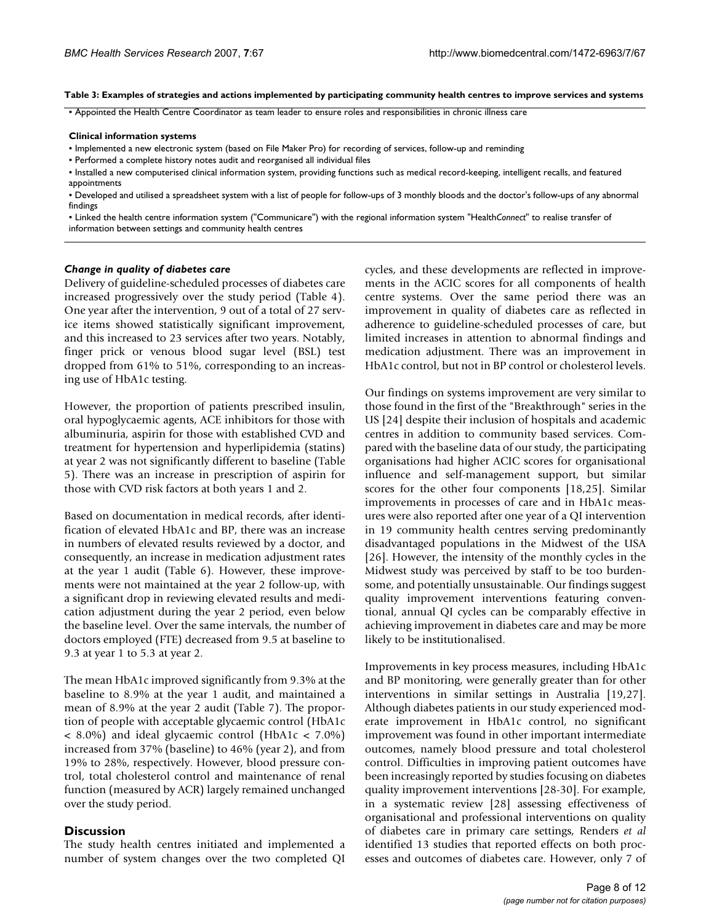**Table 3: Examples of strategies and actions implemented by participating community health centres to improve services and systems**

▪ Appointed the Health Centre Coordinator as team leader to ensure roles and responsibilities in chronic illness care

#### **Clinical information systems**

▪ Implemented a new electronic system (based on File Maker Pro) for recording of services, follow-up and reminding

- Performed a complete history notes audit and reorganised all individual files
- Installed a new computerised clinical information system, providing functions such as medical record-keeping, intelligent recalls, and featured appointments

▪ Developed and utilised a spreadsheet system with a list of people for follow-ups of 3 monthly bloods and the doctor's follow-ups of any abnormal findings

▪ Linked the health centre information system ("Communicare") with the regional information system "Health*Connect*" to realise transfer of information between settings and community health centres

#### *Change in quality of diabetes care*

Delivery of guideline-scheduled processes of diabetes care increased progressively over the study period (Table 4). One year after the intervention, 9 out of a total of 27 service items showed statistically significant improvement, and this increased to 23 services after two years. Notably, finger prick or venous blood sugar level (BSL) test dropped from 61% to 51%, corresponding to an increasing use of HbA1c testing.

However, the proportion of patients prescribed insulin, oral hypoglycaemic agents, ACE inhibitors for those with albuminuria, aspirin for those with established CVD and treatment for hypertension and hyperlipidemia (statins) at year 2 was not significantly different to baseline (Table 5). There was an increase in prescription of aspirin for those with CVD risk factors at both years 1 and 2.

Based on documentation in medical records, after identification of elevated HbA1c and BP, there was an increase in numbers of elevated results reviewed by a doctor, and consequently, an increase in medication adjustment rates at the year 1 audit (Table 6). However, these improvements were not maintained at the year 2 follow-up, with a significant drop in reviewing elevated results and medication adjustment during the year 2 period, even below the baseline level. Over the same intervals, the number of doctors employed (FTE) decreased from 9.5 at baseline to 9.3 at year 1 to 5.3 at year 2.

The mean HbA1c improved significantly from 9.3% at the baseline to 8.9% at the year 1 audit, and maintained a mean of 8.9% at the year 2 audit (Table 7). The proportion of people with acceptable glycaemic control (HbA1c < 8.0%) and ideal glycaemic control (HbA1c < 7.0%) increased from 37% (baseline) to 46% (year 2), and from 19% to 28%, respectively. However, blood pressure control, total cholesterol control and maintenance of renal function (measured by ACR) largely remained unchanged over the study period.

#### **Discussion**

The study health centres initiated and implemented a number of system changes over the two completed QI cycles, and these developments are reflected in improvements in the ACIC scores for all components of health centre systems. Over the same period there was an improvement in quality of diabetes care as reflected in adherence to guideline-scheduled processes of care, but limited increases in attention to abnormal findings and medication adjustment. There was an improvement in HbA1c control, but not in BP control or cholesterol levels.

Our findings on systems improvement are very similar to those found in the first of the "Breakthrough" series in the US [24] despite their inclusion of hospitals and academic centres in addition to community based services. Compared with the baseline data of our study, the participating organisations had higher ACIC scores for organisational influence and self-management support, but similar scores for the other four components [18,25]. Similar improvements in processes of care and in HbA1c measures were also reported after one year of a QI intervention in 19 community health centres serving predominantly disadvantaged populations in the Midwest of the USA [26]. However, the intensity of the monthly cycles in the Midwest study was perceived by staff to be too burdensome, and potentially unsustainable. Our findings suggest quality improvement interventions featuring conventional, annual QI cycles can be comparably effective in achieving improvement in diabetes care and may be more likely to be institutionalised.

Improvements in key process measures, including HbA1c and BP monitoring, were generally greater than for other interventions in similar settings in Australia [19,27]. Although diabetes patients in our study experienced moderate improvement in HbA1c control, no significant improvement was found in other important intermediate outcomes, namely blood pressure and total cholesterol control. Difficulties in improving patient outcomes have been increasingly reported by studies focusing on diabetes quality improvement interventions [28-30]. For example, in a systematic review [28] assessing effectiveness of organisational and professional interventions on quality of diabetes care in primary care settings, Renders *et al* identified 13 studies that reported effects on both processes and outcomes of diabetes care. However, only 7 of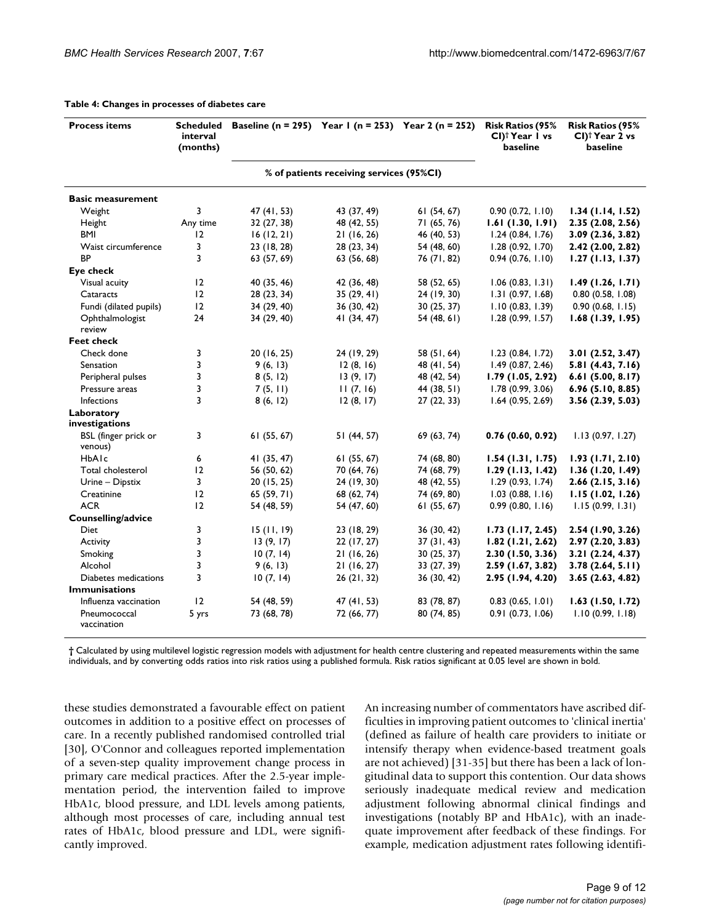| <b>Process items</b>            | <b>Scheduled</b><br>interval<br>(months) | Baseline (n = 295) Year 1 (n = 253) Year 2 (n = 252) |             |             | <b>Risk Ratios (95%</b><br>CI) <sup>†</sup> Year I vs<br>baseline | <b>Risk Ratios (95%</b><br>CI) <sup>†</sup> Year 2 vs<br>baseline |
|---------------------------------|------------------------------------------|------------------------------------------------------|-------------|-------------|-------------------------------------------------------------------|-------------------------------------------------------------------|
|                                 |                                          |                                                      |             |             |                                                                   |                                                                   |
| <b>Basic measurement</b>        |                                          |                                                      |             |             |                                                                   |                                                                   |
| Weight                          | 3                                        | 47 (41, 53)                                          | 43 (37, 49) | 61(54, 67)  | 0.90(0.72, 1.10)                                                  | 1.34(1.14, 1.52)                                                  |
| Height                          | Any time                                 | 32 (27, 38)                                          | 48 (42, 55) | 71 (65, 76) | 1.61(1.30, 1.91)                                                  | 2.35 (2.08, 2.56)                                                 |
| <b>BMI</b>                      | 12                                       | 16(12, 21)                                           | 21(16, 26)  | 46 (40, 53) | 1.24(0.84, 1.76)                                                  | 3.09 (2.36, 3.82)                                                 |
| Waist circumference             | 3                                        | 23 (18, 28)                                          | 28 (23, 34) | 54 (48, 60) | 1.28(0.92, 1.70)                                                  | 2.42 (2.00, 2.82)                                                 |
| <b>BP</b>                       | 3                                        | 63 (57, 69)                                          | 63 (56, 68) | 76 (71, 82) | 0.94(0.76, 1.10)                                                  | 1.27(1.13, 1.37)                                                  |
| Eye check                       |                                          |                                                      |             |             |                                                                   |                                                                   |
| Visual acuity                   | 12                                       | 40 (35, 46)                                          | 42 (36, 48) | 58 (52, 65) | 1.06(0.83, 1.31)                                                  | 1.49(1.26, 1.71)                                                  |
| Cataracts                       | 12                                       | 28 (23, 34)                                          | 35(29, 41)  | 24 (19, 30) | 1.31(0.97, 1.68)                                                  | 0.80(0.58, 1.08)                                                  |
| Fundi (dilated pupils)          | 12                                       | 34 (29, 40)                                          | 36 (30, 42) | 30 (25, 37) | 1.10(0.83, 1.39)                                                  | 0.90(0.68, 1.15)                                                  |
| Ophthalmologist<br>review       | 24                                       | 34 (29, 40)                                          | 41 (34, 47) | 54 (48, 61) | 1.28(0.99, 1.57)                                                  | 1.68 (1.39, 1.95)                                                 |
| <b>Feet check</b>               |                                          |                                                      |             |             |                                                                   |                                                                   |
| Check done                      | 3                                        | 20 (16, 25)                                          | 24 (19, 29) | 58 (51, 64) | 1.23(0.84, 1.72)                                                  | 3.01 (2.52, 3.47)                                                 |
| Sensation                       | 3                                        | 9(6, 13)                                             | 12(8, 16)   | 48 (41, 54) | 1.49(0.87, 2.46)                                                  | 5.81(4.43, 7.16)                                                  |
| Peripheral pulses               | 3                                        | 8(5, 12)                                             | 13(9, 17)   | 48 (42, 54) | 1.79(1.05, 2.92)                                                  | 6.61(5.00, 8.17)                                                  |
| Pressure areas                  | 3                                        | 7(5, 11)                                             | 11(7, 16)   | 44 (38, 51) | 1.78(0.99, 3.06)                                                  | 6.96(5.10, 8.85)                                                  |
| Infections                      | 3                                        | 8(6, 12)                                             | 12(8, 17)   | 27(22, 33)  | 1.64(0.95, 2.69)                                                  | 3.56 (2.39, 5.03)                                                 |
| Laboratory                      |                                          |                                                      |             |             |                                                                   |                                                                   |
| investigations                  |                                          |                                                      |             |             |                                                                   |                                                                   |
| BSL (finger prick or<br>venous) | 3                                        | 61(55, 67)                                           | 51 (44, 57) | 69 (63, 74) | 0.76(0.60, 0.92)                                                  | 1.13(0.97, 1.27)                                                  |
| HbAlc                           | 6                                        | 41 (35, 47)                                          | 61(55, 67)  | 74 (68, 80) | 1.54(1.31, 1.75)                                                  | 1.93(1.71, 2.10)                                                  |
| Total cholesterol               | 12                                       | 56 (50, 62)                                          | 70 (64, 76) | 74 (68, 79) | 1.29(1.13, 1.42)                                                  | 1.36 (1.20, 1.49)                                                 |
| Urine - Dipstix                 | 3                                        | 20 (15, 25)                                          | 24 (19, 30) | 48 (42, 55) | 1.29(0.93, 1.74)                                                  | 2.66(2.15, 3.16)                                                  |
| Creatinine                      | 12                                       | 65 (59, 71)                                          | 68 (62, 74) | 74 (69, 80) | $1.03$ (0.88, 1.16)                                               | 1.15 (1.02, 1.26)                                                 |
| <b>ACR</b>                      | 12                                       | 54 (48, 59)                                          | 54 (47, 60) | 61(55, 67)  | 0.99(0.80, 1.16)                                                  | 1.15(0.99, 1.31)                                                  |
| Counselling/advice              |                                          |                                                      |             |             |                                                                   |                                                                   |
| Diet                            | 3                                        | 15(11, 19)                                           | 23 (18, 29) | 36 (30, 42) | $1.73$ (1.17, 2.45)                                               | 2.54 (1.90, 3.26)                                                 |
| <b>Activity</b>                 | 3                                        | 13(9, 17)                                            | 22(17, 27)  | 37(31, 43)  | 1.82(1.21, 2.62)                                                  | 2.97(2.20, 3.83)                                                  |
| Smoking                         | 3                                        | 10(7, 14)                                            | 21(16, 26)  | 30 (25, 37) | 2.30 (1.50, 3.36)                                                 | 3.21 (2.24, 4.37)                                                 |
| Alcohol                         | 3                                        | 9(6, 13)                                             | 21(16, 27)  | 33 (27, 39) | 2.59 (1.67, 3.82)                                                 | 3.78(2.64, 5.11)                                                  |
| Diabetes medications            | 3                                        | 10(7, 14)                                            | 26 (21, 32) | 36 (30, 42) | 2.95 (1.94, 4.20)                                                 | 3.65(2.63, 4.82)                                                  |
| <b>Immunisations</b>            |                                          |                                                      |             |             |                                                                   |                                                                   |
| Influenza vaccination           | 12                                       | 54 (48, 59)                                          | 47 (41, 53) | 83 (78, 87) | 0.83(0.65, 1.01)                                                  | $1.63$ (1.50, 1.72)                                               |
| Pneumococcal                    | 5 yrs                                    | 73 (68, 78)                                          | 72 (66, 77) | 80 (74, 85) | 0.91(0.73, 1.06)                                                  | 1.10(0.99, 1.18)                                                  |
| vaccination                     |                                          |                                                      |             |             |                                                                   |                                                                   |

**Table 4: Changes in processes of diabetes care**

**†** Calculated by using multilevel logistic regression models with adjustment for health centre clustering and repeated measurements within the same individuals, and by converting odds ratios into risk ratios using a published formula. Risk ratios significant at 0.05 level are shown in bold.

these studies demonstrated a favourable effect on patient outcomes in addition to a positive effect on processes of care. In a recently published randomised controlled trial [30], O'Connor and colleagues reported implementation of a seven-step quality improvement change process in primary care medical practices. After the 2.5-year implementation period, the intervention failed to improve HbA1c, blood pressure, and LDL levels among patients, although most processes of care, including annual test rates of HbA1c, blood pressure and LDL, were significantly improved.

An increasing number of commentators have ascribed difficulties in improving patient outcomes to 'clinical inertia' (defined as failure of health care providers to initiate or intensify therapy when evidence-based treatment goals are not achieved) [31-35] but there has been a lack of longitudinal data to support this contention. Our data shows seriously inadequate medical review and medication adjustment following abnormal clinical findings and investigations (notably BP and HbA1c), with an inadequate improvement after feedback of these findings. For example, medication adjustment rates following identifi-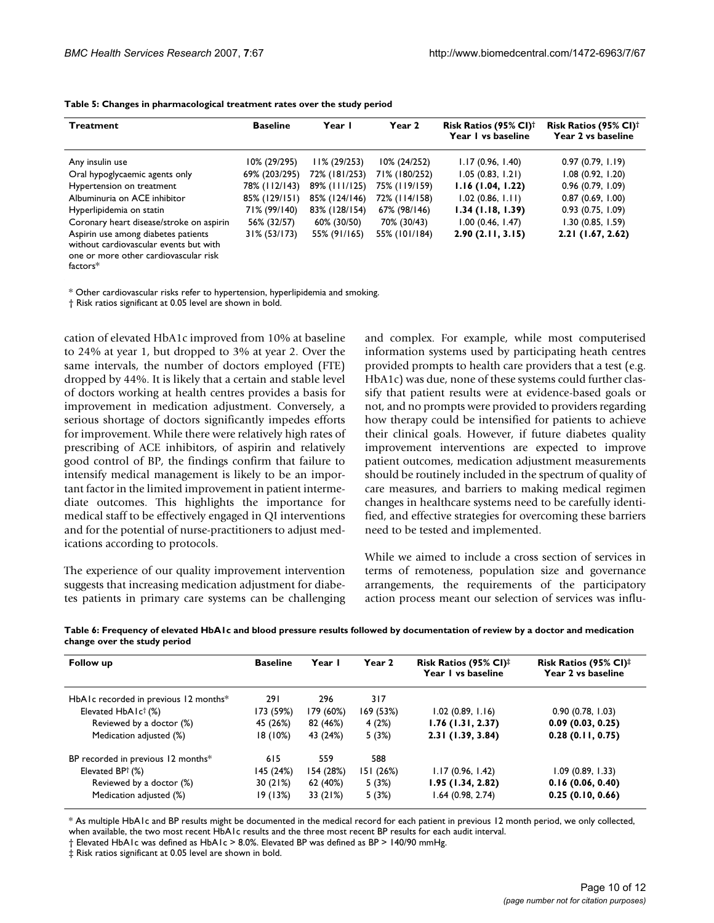| <b>Treatment</b>                                                                                                                                                                                                                                                                                                             | <b>Baseline</b>                                                                                                   | Year I                                                                                                             | Year 2                                                                                                          | Risk Ratios (95% CI) <sup>†</sup><br>Year I vs baseline                                                                                        | Risk Ratios (95% CI) <sup>†</sup><br>Year 2 vs baseline                                                                                  |
|------------------------------------------------------------------------------------------------------------------------------------------------------------------------------------------------------------------------------------------------------------------------------------------------------------------------------|-------------------------------------------------------------------------------------------------------------------|--------------------------------------------------------------------------------------------------------------------|-----------------------------------------------------------------------------------------------------------------|------------------------------------------------------------------------------------------------------------------------------------------------|------------------------------------------------------------------------------------------------------------------------------------------|
| Any insulin use<br>Oral hypoglycaemic agents only<br>Hypertension on treatment<br>Albuminuria on ACE inhibitor<br>Hyperlipidemia on statin<br>Coronary heart disease/stroke on aspirin<br>Aspirin use among diabetes patients<br>without cardiovascular events but with<br>one or more other cardiovascular risk<br>factors* | 10% (29/295)<br>69% (203/295)<br>78% (112/143)<br>85% (129/151)<br>71% (99/140)<br>56% (32/57)<br>$31\% (53/173)$ | $11\% (29/253)$<br>72% (181/253)<br>89% (111/125)<br>85% (124/146)<br>83% (128/154)<br>60% (30/50)<br>55% (91/165) | 10% (24/252)<br>71% (180/252)<br>75% (119/159)<br>72% (114/158)<br>67% (98/146)<br>70% (30/43)<br>55% (101/184) | 1.17(0.96, 1.40)<br>1.05(0.83, 1.21)<br>1.16(1.04, 1.22)<br>$1.02$ (0.86, $1.11$ )<br>1.34(1.18, 1.39)<br>1.00(0.46, 1.47)<br>2.90(2.11, 3.15) | 0.97(0.79, 1.19)<br>1.08(0.92, 1.20)<br>0.96(0.79, 1.09)<br>0.87(0.69, 1.00)<br>0.93(0.75, 1.09)<br>1.30(0.85, 1.59)<br>2.21(1.67, 2.62) |

**Table 5: Changes in pharmacological treatment rates over the study period**

\* Other cardiovascular risks refer to hypertension, hyperlipidemia and smoking.

† Risk ratios significant at 0.05 level are shown in bold.

cation of elevated HbA1c improved from 10% at baseline to 24% at year 1, but dropped to 3% at year 2. Over the same intervals, the number of doctors employed (FTE) dropped by 44%. It is likely that a certain and stable level of doctors working at health centres provides a basis for improvement in medication adjustment. Conversely, a serious shortage of doctors significantly impedes efforts for improvement. While there were relatively high rates of prescribing of ACE inhibitors, of aspirin and relatively good control of BP, the findings confirm that failure to intensify medical management is likely to be an important factor in the limited improvement in patient intermediate outcomes. This highlights the importance for medical staff to be effectively engaged in QI interventions and for the potential of nurse-practitioners to adjust medications according to protocols.

The experience of our quality improvement intervention suggests that increasing medication adjustment for diabetes patients in primary care systems can be challenging and complex. For example, while most computerised information systems used by participating heath centres provided prompts to health care providers that a test (e.g. HbA1c) was due, none of these systems could further classify that patient results were at evidence-based goals or not, and no prompts were provided to providers regarding how therapy could be intensified for patients to achieve their clinical goals. However, if future diabetes quality improvement interventions are expected to improve patient outcomes, medication adjustment measurements should be routinely included in the spectrum of quality of care measures, and barriers to making medical regimen changes in healthcare systems need to be carefully identified, and effective strategies for overcoming these barriers need to be tested and implemented.

While we aimed to include a cross section of services in terms of remoteness, population size and governance arrangements, the requirements of the participatory action process meant our selection of services was influ-

| Table 6: Frequency of elevated HbAIc and blood pressure results followed by documentation of review by a doctor and medication |
|--------------------------------------------------------------------------------------------------------------------------------|
| change over the study period                                                                                                   |

| Follow up                             | <b>Baseline</b> | Year I    | Year 2    | Risk Ratios (95% CI) $\ddagger$<br>Year I vs baseline | Risk Ratios (95% CI) <sup>‡</sup><br>Year 2 vs baseline |
|---------------------------------------|-----------------|-----------|-----------|-------------------------------------------------------|---------------------------------------------------------|
| HbAIc recorded in previous 12 months* | 291             | 296       | 317       |                                                       |                                                         |
| Elevated $HbA1c^{\dagger}$ (%)        | 173 (59%)       | 179 (60%) | 169 (53%) | $1.02$ (0.89, 1.16)                                   | 0.90(0.78, 1.03)                                        |
| Reviewed by a doctor (%)              | 45 (26%)        | 82 (46%)  | 4(2%)     | $1.76$ (1.31, 2.37)                                   | 0.09(0.03, 0.25)                                        |
| Medication adjusted (%)               | 18 (10%)        | 43 (24%)  | 5(3%)     | 2.31(1.39, 3.84)                                      | 0.28(0.11, 0.75)                                        |
| BP recorded in previous 12 months*    | 615             | 559       | 588       |                                                       |                                                         |
| Elevated BP $\uparrow$ (%)            | 145 (24%)       | 154 (28%) | 151(26%)  | 1.17(0.96, 1.42)                                      | 1.09 (0.89, 1.33)                                       |
| Reviewed by a doctor (%)              | 30(21%)         | 62 (40%)  | 5(3%)     | 1.95 (1.34, 2.82)                                     | 0.16(0.06, 0.40)                                        |
| Medication adjusted (%)               | 19 (13%)        | 33 (21%)  | 5(3%)     | 1.64(0.98, 2.74)                                      | 0.25(0.10, 0.66)                                        |

\* As multiple HbA1c and BP results might be documented in the medical record for each patient in previous 12 month period, we only collected, when available, the two most recent HbA1c results and the three most recent BP results for each audit interval.

† Elevated HbA1c was defined as HbA1c > 8.0%. Elevated BP was defined as BP > 140/90 mmHg.

‡ Risk ratios significant at 0.05 level are shown in bold.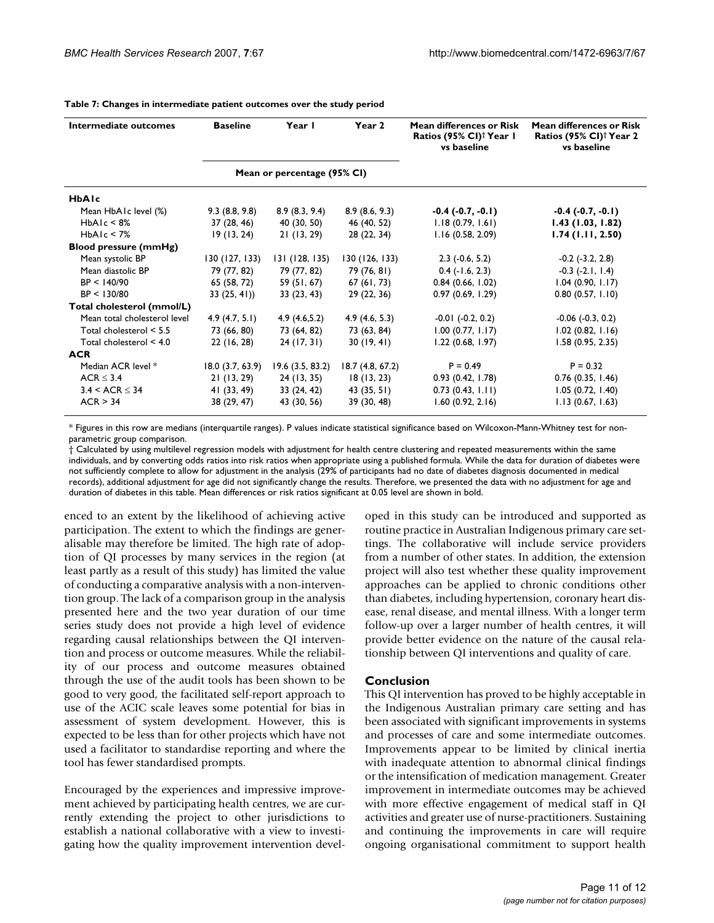| Intermediate outcomes        | <b>Baseline</b> | Year I                      | Year 2           | Mean differences or Risk<br>Ratios (95% CI) <sup>†</sup> Year I<br>vs baseline | Mean differences or Risk<br>Ratios (95% CI) <sup>†</sup> Year 2<br>vs baseline |
|------------------------------|-----------------|-----------------------------|------------------|--------------------------------------------------------------------------------|--------------------------------------------------------------------------------|
|                              |                 | Mean or percentage (95% CI) |                  |                                                                                |                                                                                |
| <b>HbAIc</b>                 |                 |                             |                  |                                                                                |                                                                                |
| Mean HbAIc level (%)         | 9.3(8.8, 9.8)   | 8.9(8.3, 9.4)               | 8.9(8.6, 9.3)    | $-0.4$ $(-0.7, -0.1)$                                                          | $-0.4$ $(-0.7, -0.1)$                                                          |
| HbA1c < 8%                   | 37 (28, 46)     | 40 (30, 50)                 | 46 (40, 52)      | 1.18(0.79, 1.61)                                                               | 1.43(1.03, 1.82)                                                               |
| HbA1c < 7%                   | 19(13, 24)      | 21(13, 29)                  | 28 (22, 34)      | 1.16(0.58, 2.09)                                                               | $1.74$ ( $1.11$ , $2.50$ )                                                     |
| <b>Blood pressure (mmHg)</b> |                 |                             |                  |                                                                                |                                                                                |
| Mean systolic BP             | 130(127, 133)   | 131 (128, 135)              | 130 (126, 133)   | $2.3$ (-0.6, 5.2)                                                              | $-0.2$ $(-3.2, 2.8)$                                                           |
| Mean diastolic BP            | 79 (77, 82)     | 79 (77, 82)                 | 79 (76, 81)      | $0.4$ ( $-1.6$ , 2.3)                                                          | $-0.3$ $(-2.1, 1.4)$                                                           |
| BP < 140/90                  | 65 (58, 72)     | 59 (51, 67)                 | 67 (61, 73)      | 0.84(0.66, 1.02)                                                               | 1.04(0.90, 1.17)                                                               |
| BP < 130/80                  | 33(25, 41)      | 33(23, 43)                  | 29 (22, 36)      | 0.97(0.69, 1.29)                                                               | 0.80(0.57, 1.10)                                                               |
| Total cholesterol (mmol/L)   |                 |                             |                  |                                                                                |                                                                                |
| Mean total cholesterol level | 4.9(4.7, 5.1)   | 4.9(4.6,5.2)                | 4.9(4.6, 5.3)    | $-0.01$ $(-0.2, 0.2)$                                                          | $-0.06$ $(-0.3, 0.2)$                                                          |
| Total cholesterol $< 5.5$    | 73 (66, 80)     | 73 (64, 82)                 | 73 (63, 84)      | 1.00(0.77, 1.17)                                                               | 1.02(0.82, 1.16)                                                               |
| Total cholesterol $\leq 4.0$ | 22 (16, 28)     | 24(17, 31)                  | 30(19, 41)       | 1.22(0.68, 1.97)                                                               | 1.58(0.95, 2.35)                                                               |
| <b>ACR</b>                   |                 |                             |                  |                                                                                |                                                                                |
| Median ACR level *           | 18.0(3.7, 63.9) | $19.6$ $(3.5, 83.2)$        | 18.7 (4.8, 67.2) | $P = 0.49$                                                                     | $P = 0.32$                                                                     |
| $ACR \leq 3.4$               | 21(13, 29)      | 24 (13, 35)                 | 18(13, 23)       | 0.93(0.42, 1.78)                                                               | $0.76$ (0.35, 1.46)                                                            |
| $3.4 < ACR \leq 34$          | 41 (33, 49)     | 33 (24, 42)                 | 43(35, 51)       | 0.73(0.43, 1.11)                                                               | 1.05(0.72, 1.40)                                                               |
| ACR > 34                     | 38 (29, 47)     | 43 (30, 56)                 | 39 (30, 48)      | 1.60(0.92, 2.16)                                                               | 1.13(0.67, 1.63)                                                               |

**Table 7: Changes in intermediate patient outcomes over the study period**

\* Figures in this row are medians (interquartile ranges). P values indicate statistical significance based on Wilcoxon-Mann-Whitney test for nonparametric group comparison.

† Calculated by using multilevel regression models with adjustment for health centre clustering and repeated measurements within the same individuals, and by converting odds ratios into risk ratios when appropriate using a published formula. While the data for duration of diabetes were not sufficiently complete to allow for adjustment in the analysis (29% of participants had no date of diabetes diagnosis documented in medical records), additional adjustment for age did not significantly change the results. Therefore, we presented the data with no adjustment for age and duration of diabetes in this table. Mean differences or risk ratios significant at 0.05 level are shown in bold.

enced to an extent by the likelihood of achieving active participation. The extent to which the findings are generalisable may therefore be limited. The high rate of adoption of QI processes by many services in the region (at least partly as a result of this study) has limited the value of conducting a comparative analysis with a non-intervention group. The lack of a comparison group in the analysis presented here and the two year duration of our time series study does not provide a high level of evidence regarding causal relationships between the QI intervention and process or outcome measures. While the reliability of our process and outcome measures obtained through the use of the audit tools has been shown to be good to very good, the facilitated self-report approach to use of the ACIC scale leaves some potential for bias in assessment of system development. However, this is expected to be less than for other projects which have not used a facilitator to standardise reporting and where the tool has fewer standardised prompts.

Encouraged by the experiences and impressive improvement achieved by participating health centres, we are currently extending the project to other jurisdictions to establish a national collaborative with a view to investigating how the quality improvement intervention developed in this study can be introduced and supported as routine practice in Australian Indigenous primary care settings. The collaborative will include service providers from a number of other states. In addition, the extension project will also test whether these quality improvement approaches can be applied to chronic conditions other than diabetes, including hypertension, coronary heart disease, renal disease, and mental illness. With a longer term follow-up over a larger number of health centres, it will provide better evidence on the nature of the causal relationship between QI interventions and quality of care.

### **Conclusion**

This QI intervention has proved to be highly acceptable in the Indigenous Australian primary care setting and has been associated with significant improvements in systems and processes of care and some intermediate outcomes. Improvements appear to be limited by clinical inertia with inadequate attention to abnormal clinical findings or the intensification of medication management. Greater improvement in intermediate outcomes may be achieved with more effective engagement of medical staff in QI activities and greater use of nurse-practitioners. Sustaining and continuing the improvements in care will require ongoing organisational commitment to support health